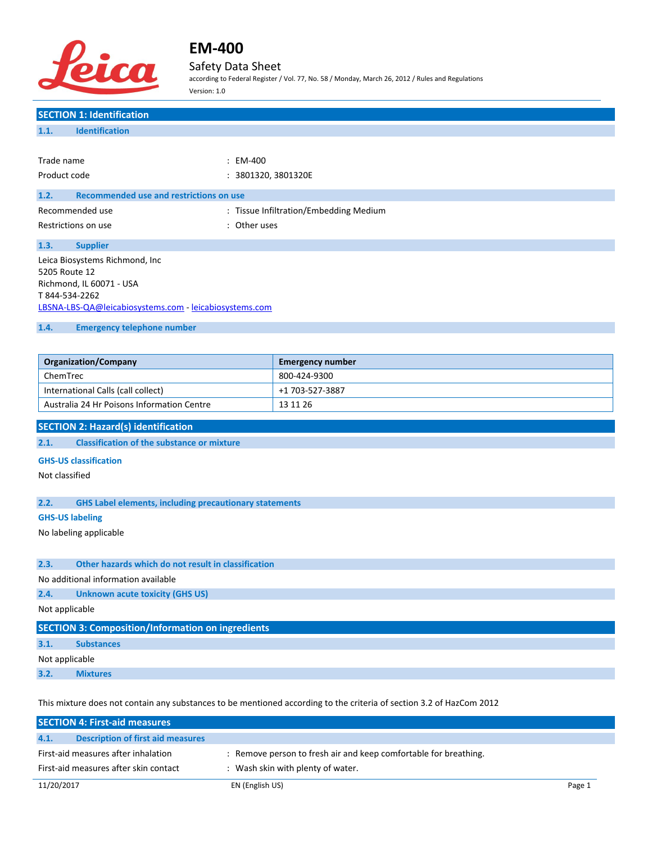

### Safety Data Sheet

according to Federal Register / Vol. 77, No. 58 / Monday, March 26, 2012 / Rules and Regulations Version: 1.0

## **SECTION 1: Identification 1.1. Identification** Trade name : EM-400 Product code : 3801320, 3801320E **1.2. Recommended use and restrictions on use** Recommended use **Exercise 20** Fissue Infiltration/Embedding Medium Restrictions on use the set of the set of the set of the set of the set of the set of the set of the set of the set of the set of the set of the set of the set of the set of the set of the set of the set of the set of the **1.3. Supplier** Leica Biosystems Richmond, Inc 5205 Route 12 Richmond, IL 60071 - USA T 844-534-2262 [LBSNA-LBS-QA@leicabiosystems.com](mailto:LBSNA-LBS-QA@leicabiosystems.com) - <leicabiosystems.com> **1.4. Emergency telephone number Organization/Company Emergency number** ChemTrec 800-424-9300 International Calls (call collect) +1 703-527-3887

#### **SECTION 2: Hazard(s) identification**

**2.1. Classification of the substance or mixture**

#### **GHS-US classification**

Not classified

#### **2.2. GHS Label elements, including precautionary statements**

Australia 24 Hr Poisons Information Centre 13 11 26

#### **GHS-US labeling**

No labeling applicable

#### **2.3. Other hazards which do not result in classification**

No additional information available

#### **2.4. Unknown acute toxicity (GHS US)**

Not applicable

| SECTION 3: Composition/Information on ingredients |                   |  |  |
|---------------------------------------------------|-------------------|--|--|
| 3.1.                                              | <b>Substances</b> |  |  |
| Not applicable                                    |                   |  |  |
| 3.2.                                              | <b>Mixtures</b>   |  |  |

This mixture does not contain any substances to be mentioned according to the criteria of section 3.2 of HazCom 2012

|                                       | <b>SECTION 4: First-aid measures</b>     |                                                                  |        |
|---------------------------------------|------------------------------------------|------------------------------------------------------------------|--------|
| 4.1.                                  | <b>Description of first aid measures</b> |                                                                  |        |
| First-aid measures after inhalation   |                                          | : Remove person to fresh air and keep comfortable for breathing. |        |
| First-aid measures after skin contact |                                          | : Wash skin with plenty of water.                                |        |
| 11/20/2017                            |                                          | EN (English US)                                                  | Page 1 |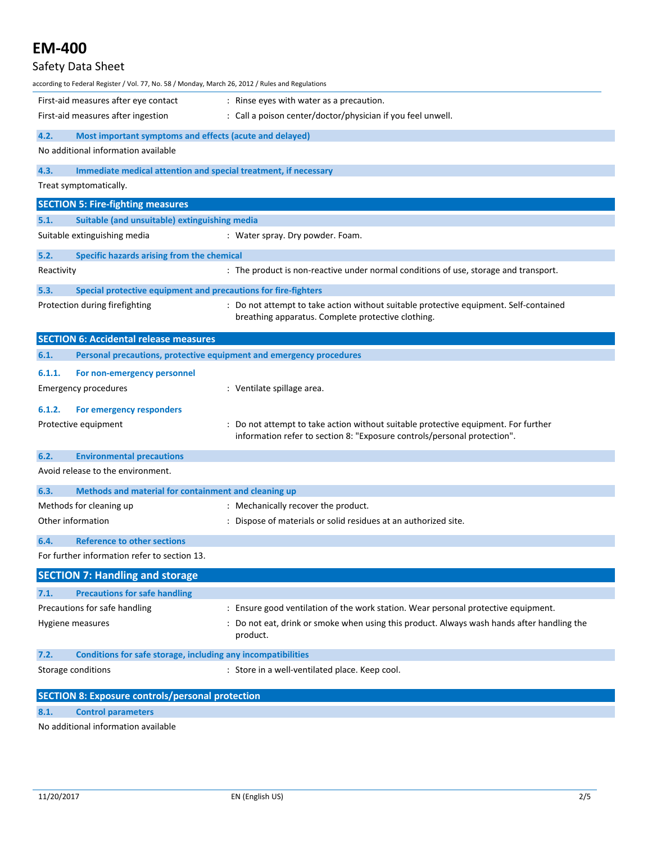## **EM-400** Safety Data Sheet according to Federal Register / Vol. 77, No. 58 / Monday, March 26, 2012 / Rules and Regulations First-aid measures after eye contact : Rinse eyes with water as a precaution. First-aid measures after ingestion : Call a poison center/doctor/physician if you feel unwell. **4.2. Most important symptoms and effects (acute and delayed)** No additional information available **4.3. Immediate medical attention and special treatment, if necessary** Treat symptomatically. **SECTION 5: Fire-fighting measures 5.1. Suitable (and unsuitable) extinguishing media** Suitable extinguishing media : Water spray. Dry powder. Foam. **5.2. Specific hazards arising from the chemical** Reactivity **State 1 and Team 2018** The product is non-reactive under normal conditions of use, storage and transport. **5.3. Special protective equipment and precautions for fire-fighters** Protection during firefighting : Do not attempt to take action without suitable protective equipment. Self-contained breathing apparatus. Complete protective clothing. **SECTION 6: Accidental release measures 6.1. Personal precautions, protective equipment and emergency procedures 6.1.1. For non-emergency personnel** Emergency procedures in the spillage area. **6.1.2. For emergency responders** Protective equipment **interprotective equipment** in the statempt to take action without suitable protective equipment. For further information refer to section 8: "Exposure controls/personal protection". **6.2. Environmental precautions** Avoid release to the environment. **6.3. Methods and material for containment and cleaning up** Methods for cleaning up **interpretionally recover the product.** Section 1. Mechanically recover the product. Other information : Dispose of materials or solid residues at an authorized site.

For further information refer to section 13.

**6.4. Reference to other sections**

| <b>SECTION 7: Handling and storage</b> |                                                              |                                                                                                        |  |
|----------------------------------------|--------------------------------------------------------------|--------------------------------------------------------------------------------------------------------|--|
|                                        |                                                              |                                                                                                        |  |
| 7.1.                                   | <b>Precautions for safe handling</b>                         |                                                                                                        |  |
| Precautions for safe handling          |                                                              | : Ensure good ventilation of the work station. Wear personal protective equipment.                     |  |
| Hygiene measures                       |                                                              | : Do not eat, drink or smoke when using this product. Always wash hands after handling the<br>product. |  |
| 7.2.                                   | Conditions for safe storage, including any incompatibilities |                                                                                                        |  |
| Storage conditions                     |                                                              | : Store in a well-ventilated place. Keep cool.                                                         |  |

| <b>SECTION 8: Exposure controls/personal protection</b> |                           |  |
|---------------------------------------------------------|---------------------------|--|
| 8.1.                                                    | <b>Control parameters</b> |  |
| No additional information quailable                     |                           |  |

o additional information available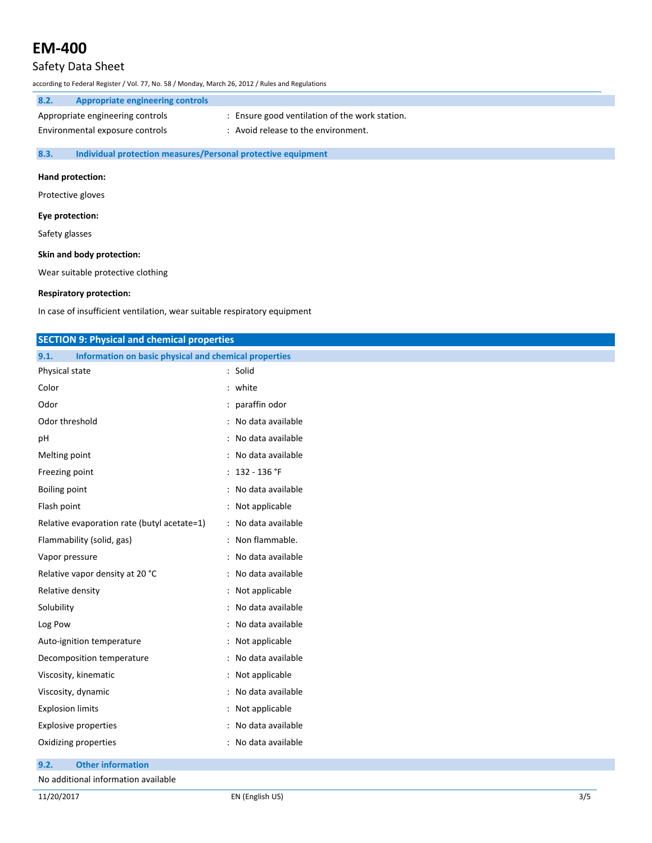## Safety Data Sheet

according to Federal Register / Vol. 77, No. 58 / Monday, March 26, 2012 / Rules and Regulations

| 8.2. | Appropriate engineering controls |                                              |
|------|----------------------------------|----------------------------------------------|
|      | Appropriate engineering controls | Ensure good ventilation of the work station. |
|      | Environmental exposure controls  | Avoid release to the environment.            |

### **8.3. Individual protection measures/Personal protective equipment**

#### **Hand protection:**

Protective gloves

#### **Eye protection:**

Safety glasses

#### **Skin and body protection:**

Wear suitable protective clothing

### **Respiratory protection:**

In case of insufficient ventilation, wear suitable respiratory equipment

| <b>SECTION 9: Physical and chemical properties</b>            |                     |  |  |
|---------------------------------------------------------------|---------------------|--|--|
| Information on basic physical and chemical properties<br>9.1. |                     |  |  |
| Physical state                                                | : Solid             |  |  |
| Color                                                         | : white             |  |  |
| Odor                                                          | : paraffin odor     |  |  |
| Odor threshold                                                | : No data available |  |  |
| pH                                                            | : No data available |  |  |
| Melting point                                                 | : No data available |  |  |
| Freezing point                                                | : $132 - 136$ °F    |  |  |
| <b>Boiling point</b>                                          | : No data available |  |  |
| Flash point                                                   | : Not applicable    |  |  |
| Relative evaporation rate (butyl acetate=1)                   | : No data available |  |  |
| Flammability (solid, gas)                                     | : Non flammable.    |  |  |
| Vapor pressure                                                | : No data available |  |  |
| Relative vapor density at 20 °C                               | : No data available |  |  |
| Relative density                                              | : Not applicable    |  |  |
| Solubility                                                    | : No data available |  |  |
| Log Pow                                                       | : No data available |  |  |
| Auto-ignition temperature                                     | : Not applicable    |  |  |
| Decomposition temperature                                     | : No data available |  |  |
| Viscosity, kinematic                                          | : Not applicable    |  |  |
| Viscosity, dynamic                                            | : No data available |  |  |
| <b>Explosion limits</b>                                       | : Not applicable    |  |  |
| <b>Explosive properties</b>                                   | : No data available |  |  |
| Oxidizing properties                                          | : No data available |  |  |

## **9.2. Other information**

No additional information available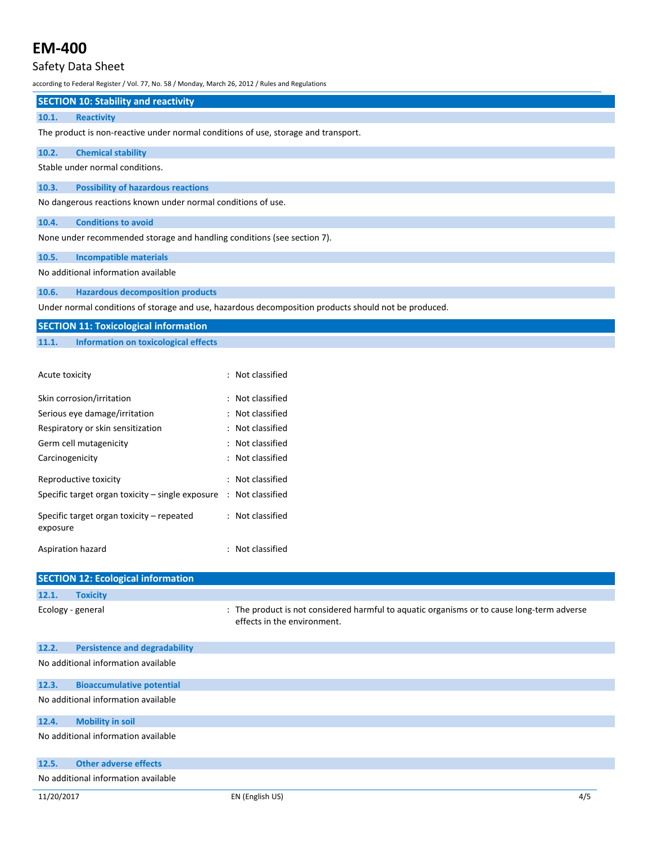## Safety Data Sheet

according to Federal Register / Vol. 77, No. 58 / Monday, March 26, 2012 / Rules and Regulations

## **SECTION 10: Stability and reactivity**

### **10.1. Reactivity**

The product is non-reactive under normal conditions of use, storage and transport.

## **10.2. Chemical stability**

Stable under normal conditions.

#### **10.3. Possibility of hazardous reactions**

No dangerous reactions known under normal conditions of use.

### **10.4. Conditions to avoid**

None under recommended storage and handling conditions (see section 7).

## **10.5. Incompatible materials**

No additional information available

#### **10.6. Hazardous decomposition products**

Under normal conditions of storage and use, hazardous decomposition products should not be produced.

| <b>SECTION 11: Toxicological information</b> |                                      |  |
|----------------------------------------------|--------------------------------------|--|
| 11.1.                                        | Information on toxicological effects |  |

| Acute toxicity                                        | : Not classified |
|-------------------------------------------------------|------------------|
| Skin corrosion/irritation                             | Not classified   |
| Serious eye damage/irritation                         | Not classified   |
| Respiratory or skin sensitization                     | : Not classified |
| Germ cell mutagenicity                                | Not classified   |
| Carcinogenicity                                       | : Not classified |
| Reproductive toxicity                                 | : Not classified |
| Specific target organ toxicity $-$ single exposure    | : Not classified |
| Specific target organ toxicity – repeated<br>exposure | : Not classified |
| Aspiration hazard                                     | : Not classified |

|                                     | <b>SECTION 12: Ecological information</b> |                                                                                                                           |  |
|-------------------------------------|-------------------------------------------|---------------------------------------------------------------------------------------------------------------------------|--|
| 12.1.                               | <b>Toxicity</b>                           |                                                                                                                           |  |
| Ecology - general                   |                                           | : The product is not considered harmful to aquatic organisms or to cause long-term adverse<br>effects in the environment. |  |
| 12.2.                               | <b>Persistence and degradability</b>      |                                                                                                                           |  |
| No additional information available |                                           |                                                                                                                           |  |
| 12.3.                               | <b>Bioaccumulative potential</b>          |                                                                                                                           |  |
| No additional information available |                                           |                                                                                                                           |  |
| 12.4.                               | <b>Mobility in soil</b>                   |                                                                                                                           |  |
| No additional information available |                                           |                                                                                                                           |  |
| 12.5.                               | <b>Other adverse effects</b>              |                                                                                                                           |  |
| No additional information available |                                           |                                                                                                                           |  |